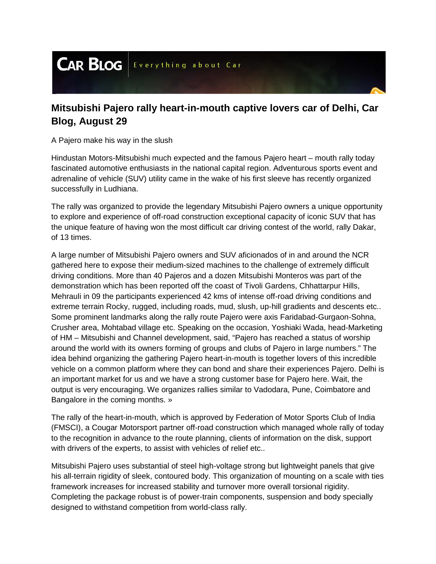**CAR BLOG** Everything about Car

## **Mitsubishi Pajero rally heart-in-mouth captive lovers car of Delhi, Car Blog, August 29**

A Pajero make his way in the slush

Hindustan Motors-Mitsubishi much expected and the famous Pajero heart – mouth rally today fascinated automotive enthusiasts in the national capital region. Adventurous sports event and adrenaline of vehicle (SUV) utility came in the wake of his first sleeve has recently organized successfully in Ludhiana.

The rally was organized to provide the legendary Mitsubishi Pajero owners a unique opportunity to explore and experience of off-road construction exceptional capacity of iconic SUV that has the unique feature of having won the most difficult car driving contest of the world, rally Dakar, of 13 times.

A large number of Mitsubishi Pajero owners and SUV aficionados of in and around the NCR gathered here to expose their medium-sized machines to the challenge of extremely difficult driving conditions. More than 40 Pajeros and a dozen Mitsubishi Monteros was part of the demonstration which has been reported off the coast of Tivoli Gardens, Chhattarpur Hills, Mehrauli in 09 the participants experienced 42 kms of intense off-road driving conditions and extreme terrain Rocky, rugged, including roads, mud, slush, up-hill gradients and descents etc.. Some prominent landmarks along the rally route Pajero were axis Faridabad-Gurgaon-Sohna, Crusher area, Mohtabad village etc. Speaking on the occasion, Yoshiaki Wada, head-Marketing of HM – Mitsubishi and Channel development, said, "Pajero has reached a status of worship around the world with its owners forming of groups and clubs of Pajero in large numbers." The idea behind organizing the gathering Pajero heart-in-mouth is together lovers of this incredible vehicle on a common platform where they can bond and share their experiences Pajero. Delhi is an important market for us and we have a strong customer base for Pajero here. Wait, the output is very encouraging. We organizes rallies similar to Vadodara, Pune, Coimbatore and Bangalore in the coming months. »

The rally of the heart-in-mouth, which is approved by Federation of Motor Sports Club of India (FMSCI), a Cougar Motorsport partner off-road construction which managed whole rally of today to the recognition in advance to the route planning, clients of information on the disk, support with drivers of the experts, to assist with vehicles of relief etc..

Mitsubishi Pajero uses substantial of steel high-voltage strong but lightweight panels that give his all-terrain rigidity of sleek, contoured body. This organization of mounting on a scale with ties framework increases for increased stability and turnover more overall torsional rigidity. Completing the package robust is of power-train components, suspension and body specially designed to withstand competition from world-class rally.